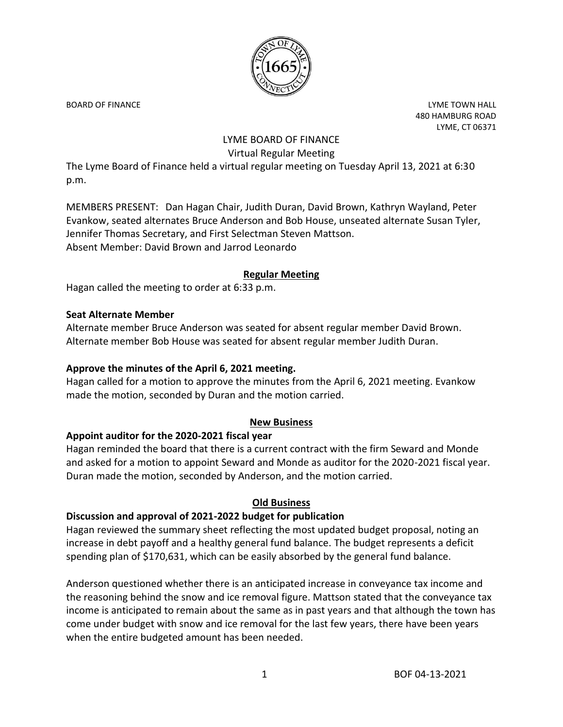

BOARD OF FINANCE **Little Struck and Struck and Struck and Struck and Struck and Struck and Struck and Struck and Struck and Struck and Struck and Struck and Struck and Struck and Struck and Struck and Struck and Struck and** 480 HAMBURG ROAD LYME, CT 06371

# LYME BOARD OF FINANCE Virtual Regular Meeting

The Lyme Board of Finance held a virtual regular meeting on Tuesday April 13, 2021 at 6:30 p.m.

MEMBERS PRESENT: Dan Hagan Chair, Judith Duran, David Brown, Kathryn Wayland, Peter Evankow, seated alternates Bruce Anderson and Bob House, unseated alternate Susan Tyler, Jennifer Thomas Secretary, and First Selectman Steven Mattson. Absent Member: David Brown and Jarrod Leonardo

#### **Regular Meeting**

Hagan called the meeting to order at 6:33 p.m.

#### **Seat Alternate Member**

Alternate member Bruce Anderson was seated for absent regular member David Brown. Alternate member Bob House was seated for absent regular member Judith Duran.

#### **Approve the minutes of the April 6, 2021 meeting.**

Hagan called for a motion to approve the minutes from the April 6, 2021 meeting. Evankow made the motion, seconded by Duran and the motion carried.

# **New Business**

#### **Appoint auditor for the 2020-2021 fiscal year**

Hagan reminded the board that there is a current contract with the firm Seward and Monde and asked for a motion to appoint Seward and Monde as auditor for the 2020-2021 fiscal year. Duran made the motion, seconded by Anderson, and the motion carried.

# **Old Business**

# **Discussion and approval of 2021-2022 budget for publication**

Hagan reviewed the summary sheet reflecting the most updated budget proposal, noting an increase in debt payoff and a healthy general fund balance. The budget represents a deficit spending plan of \$170,631, which can be easily absorbed by the general fund balance.

Anderson questioned whether there is an anticipated increase in conveyance tax income and the reasoning behind the snow and ice removal figure. Mattson stated that the conveyance tax income is anticipated to remain about the same as in past years and that although the town has come under budget with snow and ice removal for the last few years, there have been years when the entire budgeted amount has been needed.